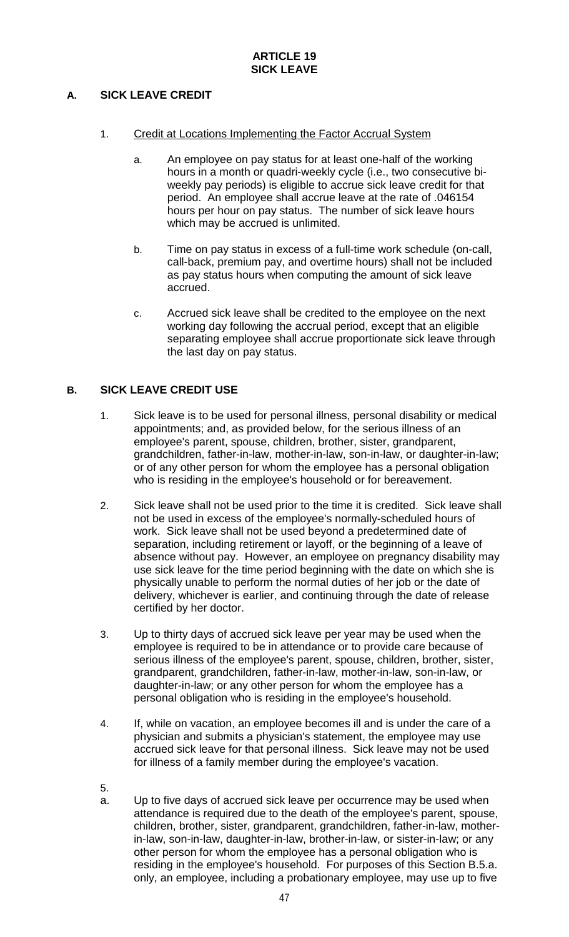# **A. SICK LEAVE CREDIT**

- 1. Credit at Locations Implementing the Factor Accrual System
	- a. An employee on pay status for at least one-half of the working hours in a month or quadri-weekly cycle (i.e., two consecutive biweekly pay periods) is eligible to accrue sick leave credit for that period. An employee shall accrue leave at the rate of .046154 hours per hour on pay status. The number of sick leave hours which may be accrued is unlimited.
	- b. Time on pay status in excess of a full-time work schedule (on-call, call-back, premium pay, and overtime hours) shall not be included as pay status hours when computing the amount of sick leave accrued.
	- c. Accrued sick leave shall be credited to the employee on the next working day following the accrual period, except that an eligible separating employee shall accrue proportionate sick leave through the last day on pay status.

## **B. SICK LEAVE CREDIT USE**

- 1. Sick leave is to be used for personal illness, personal disability or medical appointments; and, as provided below, for the serious illness of an employee's parent, spouse, children, brother, sister, grandparent, grandchildren, father-in-law, mother-in-law, son-in-law, or daughter-in-law; or of any other person for whom the employee has a personal obligation who is residing in the employee's household or for bereavement.
- 2. Sick leave shall not be used prior to the time it is credited. Sick leave shall not be used in excess of the employee's normally-scheduled hours of work. Sick leave shall not be used beyond a predetermined date of separation, including retirement or layoff, or the beginning of a leave of absence without pay. However, an employee on pregnancy disability may use sick leave for the time period beginning with the date on which she is physically unable to perform the normal duties of her job or the date of delivery, whichever is earlier, and continuing through the date of release certified by her doctor.
- 3. Up to thirty days of accrued sick leave per year may be used when the employee is required to be in attendance or to provide care because of serious illness of the employee's parent, spouse, children, brother, sister, grandparent, grandchildren, father-in-law, mother-in-law, son-in-law, or daughter-in-law; or any other person for whom the employee has a personal obligation who is residing in the employee's household.
- 4. If, while on vacation, an employee becomes ill and is under the care of a physician and submits a physician's statement, the employee may use accrued sick leave for that personal illness. Sick leave may not be used for illness of a family member during the employee's vacation.
- 5.
- a. Up to five days of accrued sick leave per occurrence may be used when attendance is required due to the death of the employee's parent, spouse, children, brother, sister, grandparent, grandchildren, father-in-law, motherin-law, son-in-law, daughter-in-law, brother-in-law, or sister-in-law; or any other person for whom the employee has a personal obligation who is residing in the employee's household. For purposes of this Section B.5.a. only, an employee, including a probationary employee, may use up to five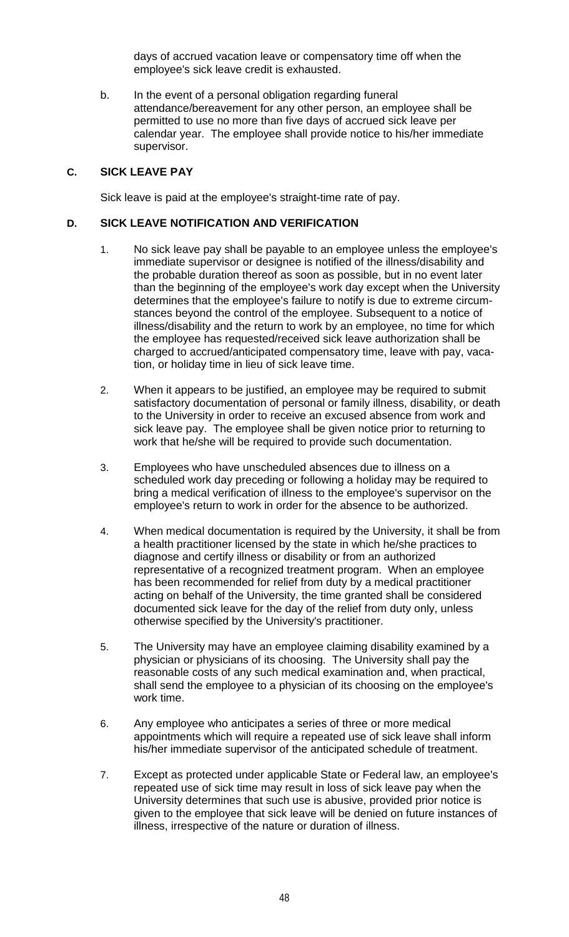days of accrued vacation leave or compensatory time off when the employee's sick leave credit is exhausted.

b. In the event of a personal obligation regarding funeral attendance/bereavement for any other person, an employee shall be permitted to use no more than five days of accrued sick leave per calendar year. The employee shall provide notice to his/her immediate supervisor.

#### **C. SICK LEAVE PAY**

Sick leave is paid at the employee's straight-time rate of pay.

#### **D. SICK LEAVE NOTIFICATION AND VERIFICATION**

- 1. No sick leave pay shall be payable to an employee unless the employee's immediate supervisor or designee is notified of the illness/disability and the probable duration thereof as soon as possible, but in no event later than the beginning of the employee's work day except when the University determines that the employee's failure to notify is due to extreme circumstances beyond the control of the employee. Subsequent to a notice of illness/disability and the return to work by an employee, no time for which the employee has requested/received sick leave authorization shall be charged to accrued/anticipated compensatory time, leave with pay, vacation, or holiday time in lieu of sick leave time.
- 2. When it appears to be justified, an employee may be required to submit satisfactory documentation of personal or family illness, disability, or death to the University in order to receive an excused absence from work and sick leave pay. The employee shall be given notice prior to returning to work that he/she will be required to provide such documentation.
- 3. Employees who have unscheduled absences due to illness on a scheduled work day preceding or following a holiday may be required to bring a medical verification of illness to the employee's supervisor on the employee's return to work in order for the absence to be authorized.
- 4. When medical documentation is required by the University, it shall be from a health practitioner licensed by the state in which he/she practices to diagnose and certify illness or disability or from an authorized representative of a recognized treatment program. When an employee has been recommended for relief from duty by a medical practitioner acting on behalf of the University, the time granted shall be considered documented sick leave for the day of the relief from duty only, unless otherwise specified by the University's practitioner.
- 5. The University may have an employee claiming disability examined by a physician or physicians of its choosing. The University shall pay the reasonable costs of any such medical examination and, when practical, shall send the employee to a physician of its choosing on the employee's work time.
- 6. Any employee who anticipates a series of three or more medical appointments which will require a repeated use of sick leave shall inform his/her immediate supervisor of the anticipated schedule of treatment.
- 7. Except as protected under applicable State or Federal law, an employee's repeated use of sick time may result in loss of sick leave pay when the University determines that such use is abusive, provided prior notice is given to the employee that sick leave will be denied on future instances of illness, irrespective of the nature or duration of illness.